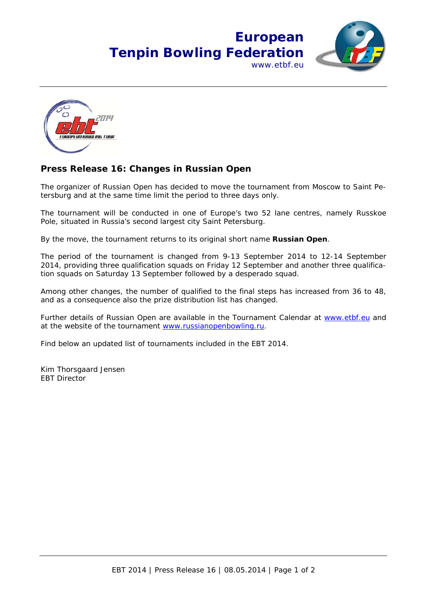## **European Tenpin Bowling Federation** www.ethf.eu





## **Press Release 16: Changes in Russian Open**

The organizer of Russian Open has decided to move the tournament from Moscow to Saint Petersburg and at the same time limit the period to three days only.

The tournament will be conducted in one of Europe's two 52 lane centres, namely Russkoe Pole, situated in Russia's second largest city Saint Petersburg.

By the move, the tournament returns to its original short name **Russian Open**.

The period of the tournament is changed from 9-13 September 2014 to 12-14 September 2014, providing three qualification squads on Friday 12 September and another three qualification squads on Saturday 13 September followed by a desperado squad.

Among other changes, the number of qualified to the final steps has increased from 36 to 48, and as a consequence also the prize distribution list has changed.

Further details of Russian Open are available in the Tournament Calendar at www.etbf.eu and at the website of the tournament www.russianopenbowling.ru.

Find below an updated list of tournaments included in the EBT 2014.

Kim Thorsgaard Jensen EBT Director